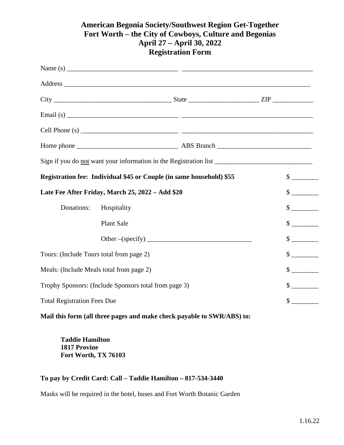## **American Begonia Society/Southwest Region Get-Together Fort Worth – the City of Cowboys, Culture and Begonias April 27 – April 30, 2022 Registration Form**

|                                                                      |                                                                        | Email (s) $\frac{1}{2}$ $\frac{1}{2}$ $\frac{1}{2}$ $\frac{1}{2}$ $\frac{1}{2}$ $\frac{1}{2}$ $\frac{1}{2}$ $\frac{1}{2}$ $\frac{1}{2}$ $\frac{1}{2}$ $\frac{1}{2}$ $\frac{1}{2}$ $\frac{1}{2}$ $\frac{1}{2}$ $\frac{1}{2}$ $\frac{1}{2}$ $\frac{1}{2}$ $\frac{1}{2}$ $\frac{1}{2}$ $\frac{1}{2}$ $\frac{1}{2}$ |                             |
|----------------------------------------------------------------------|------------------------------------------------------------------------|-----------------------------------------------------------------------------------------------------------------------------------------------------------------------------------------------------------------------------------------------------------------------------------------------------------------|-----------------------------|
|                                                                      |                                                                        |                                                                                                                                                                                                                                                                                                                 |                             |
|                                                                      |                                                                        |                                                                                                                                                                                                                                                                                                                 |                             |
|                                                                      |                                                                        | Sign if you do not want your information in the Registration list __________________________________                                                                                                                                                                                                            |                             |
| Registration fee: Individual \$45 or Couple (in same household) \$55 |                                                                        |                                                                                                                                                                                                                                                                                                                 | $\frac{\text{S}}{\text{S}}$ |
| Late Fee After Friday, March 25, 2022 - Add \$20                     |                                                                        |                                                                                                                                                                                                                                                                                                                 | $\frac{\text{S}}{\text{S}}$ |
| Donations:                                                           | Hospitality                                                            |                                                                                                                                                                                                                                                                                                                 | $\sim$                      |
|                                                                      | <b>Plant Sale</b>                                                      |                                                                                                                                                                                                                                                                                                                 | $\frac{\text{S}}{\text{S}}$ |
|                                                                      |                                                                        |                                                                                                                                                                                                                                                                                                                 | $\frac{1}{2}$               |
| Tours: (Include Tours total from page 2)                             |                                                                        |                                                                                                                                                                                                                                                                                                                 | $\frac{\text{S}}{\text{S}}$ |
| Meals: (Include Meals total from page 2)                             |                                                                        |                                                                                                                                                                                                                                                                                                                 | $\sim$                      |
| Trophy Sponsors: (Include Sponsors total from page 3)                |                                                                        |                                                                                                                                                                                                                                                                                                                 | $\frac{\text{S}}{\text{S}}$ |
| <b>Total Registration Fees Due</b>                                   |                                                                        |                                                                                                                                                                                                                                                                                                                 | $\frac{\text{S}}{\text{S}}$ |
|                                                                      | Mail this form (all three pages and make check payable to SWR/ABS) to: |                                                                                                                                                                                                                                                                                                                 |                             |

**Taddie Hamilton 1817 Provine Fort Worth, TX 76103** 

## **To pay by Credit Card: Call – Taddie Hamilton – 817-534-3440**

Masks will be required in the hotel, buses and Fort Worth Botanic Garden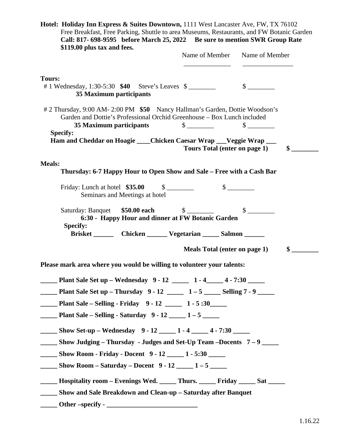| Hotel: Holiday Inn Express & Suites Downtown, 1111 West Lancaster Ave, FW, TX 76102<br>Free Breakfast, Free Parking, Shuttle to area Museums, Restaurants, and FW Botanic Garden<br>Call: 817- 698-9595 before March 25, 2022 Be sure to mention SWR Group Rate<br>\$119.00 plus tax and fees. |               |                                      |               |
|------------------------------------------------------------------------------------------------------------------------------------------------------------------------------------------------------------------------------------------------------------------------------------------------|---------------|--------------------------------------|---------------|
|                                                                                                                                                                                                                                                                                                |               | Name of Member Name of Member        |               |
| <b>Tours:</b><br># 1 Wednesday, 1:30-5:30 \$40 Steve's Leaves \$<br>35 Maximum participants                                                                                                                                                                                                    |               | $\frac{\text{S}}{\text{S}}$          |               |
| # 2 Thursday, 9:00 AM-2:00 PM \$50 Nancy Hallman's Garden, Dottie Woodson's<br>Garden and Dottie's Professional Orchid Greenhouse - Box Lunch included<br>35 Maximum participants                                                                                                              | $\frac{1}{2}$ | $\frac{\text{S}}{\text{S}}$          |               |
| <b>Specify:</b><br>Ham and Cheddar on Hoagie ____Chicken Caesar Wrap ___Veggie Wrap ___                                                                                                                                                                                                        |               | Tours Total (enter on page 1)        | $\mathbf{\$}$ |
| <b>Meals:</b>                                                                                                                                                                                                                                                                                  |               |                                      |               |
| Thursday: 6-7 Happy Hour to Open Show and Sale – Free with a Cash Bar                                                                                                                                                                                                                          |               |                                      |               |
| Friday: Lunch at hotel $$35.00$ $$$ $$$<br>Seminars and Meetings at hotel                                                                                                                                                                                                                      |               |                                      |               |
| Saturday: Banquet \$50.00 each \$<br>6:30 - Happy Hour and dinner at FW Botanic Garden<br><b>Specify:</b><br>Brisket _________ Chicken _________ Vegetarian _______ Salmon _______                                                                                                             |               |                                      |               |
|                                                                                                                                                                                                                                                                                                |               | <b>Meals Total (enter on page 1)</b> | $\sim$        |
| Please mark area where you would be willing to volunteer your talents:                                                                                                                                                                                                                         |               |                                      |               |
| Plant Sale Set up – Wednesday 9 - 12 _____ 1 - 4 ____ 4 - 7:30 ____<br>$\mathcal{L}^{\text{max}}$                                                                                                                                                                                              |               |                                      |               |
| <b>Plant Sale Set up - Thursday <math>9 - 12</math> _____ 1 - 5 ____ Selling 7 - 9 ___</b>                                                                                                                                                                                                     |               |                                      |               |
| <b>Plant Sale – Selling - Friday 9 - 12</b> 1 - 5:30                                                                                                                                                                                                                                           |               |                                      |               |
| <b>Plant Sale – Selling - Saturday</b> $9 - 12$ 1 – 5                                                                                                                                                                                                                                          |               |                                      |               |
| ______ Show Set-up - Wednesday 9 - 12 _____ 1 - 4 _____ 4 - 7:30 _____                                                                                                                                                                                                                         |               |                                      |               |
| <b>EXECUTE:</b> Show Judging – Thursday - Judges and Set-Up Team – Docents $7 - 9$                                                                                                                                                                                                             |               |                                      |               |
| <b>Show Room - Friday - Docent</b> 9 - 12 1 - 5:30                                                                                                                                                                                                                                             |               |                                      |               |
| $\frac{1}{2}$ Show Room – Saturday – Docent 9 - 12 $\frac{1}{2}$ 1 – 5                                                                                                                                                                                                                         |               |                                      |               |
| _____ Hospitality room - Evenings Wed. _____ Thurs. _____ Friday _____ Sat _____                                                                                                                                                                                                               |               |                                      |               |
| <b>EXAMPLE 2018 Show and Sale Breakdown and Clean-up - Saturday after Banquet</b>                                                                                                                                                                                                              |               |                                      |               |
|                                                                                                                                                                                                                                                                                                |               |                                      |               |